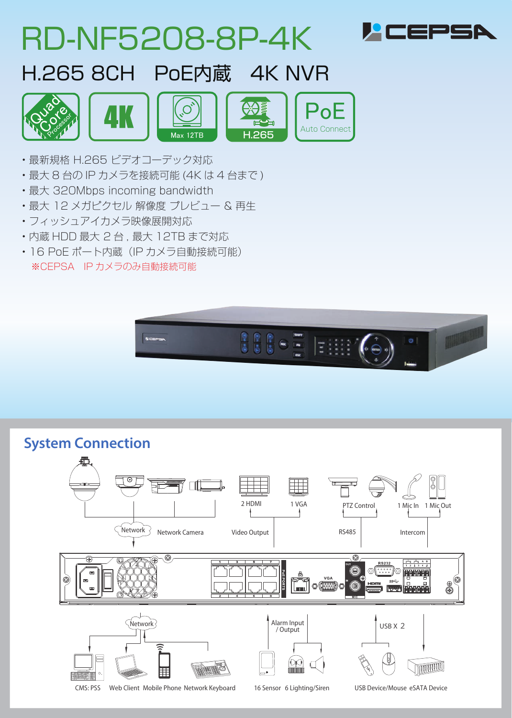| <b>RD-NF5208-8P-4K</b>                                                                                                          | <i>H</i> CEPSA |
|---------------------------------------------------------------------------------------------------------------------------------|----------------|
| H.265 8CH PoE内蔵 4K NVR                                                                                                          |                |
| <b>4K</b><br><b>Auto Connect</b><br>H.265<br>Max 12TB                                                                           |                |
| ・最新規格 H.265 ビデオコーデック対応<br>・最大 8 台の IP カメラを接続可能 (4K は 4 台まで )<br>• 最大 320Mbps incoming bandwidth<br>・最大 12 メガピクセル 解像度 プレビュー & 再生 |                |

- フィッシュアイカメラ映像展開対応
- 内蔵 HDD 最大 2 台 , 最大 12TB まで対応
- 16 PoE ポート内蔵 (IP カメラ自動接続可能) ※CEPSA IP カメラのみ自動接続可能



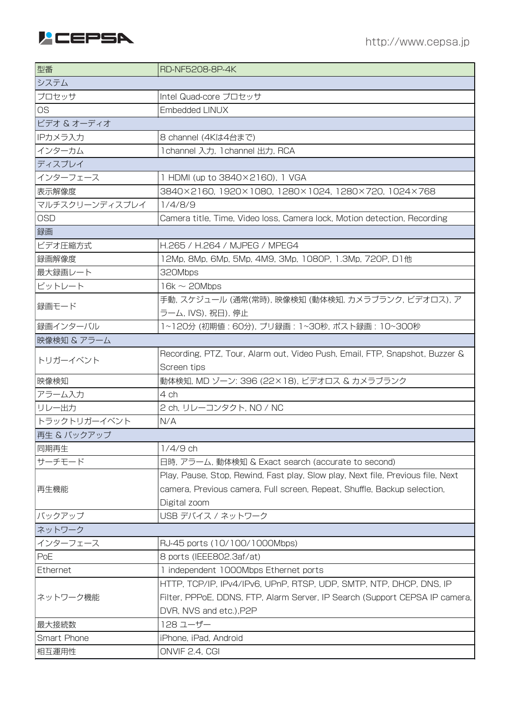

| 型番             | <b>RD-NF5208-8P-4K</b>                                                          |
|----------------|---------------------------------------------------------------------------------|
| システム           |                                                                                 |
| プロセッサ          | Intel Quad-core プロセッサ                                                           |
| <b>OS</b>      | Embedded LINUX                                                                  |
| ビデオ & オーディオ    |                                                                                 |
| IPカメラ入力        | 8 channel (4Kは4台まで)                                                             |
| インターカム         | 1channel 入力, 1channel 出力, RCA                                                   |
| ディスプレイ         |                                                                                 |
| インターフェース       | 1 HDMI (up to 3840×2160), 1 VGA                                                 |
| 表示解像度          | 3840×2160, 1920×1080, 1280×1024, 1280×720, 1024×768                             |
| マルチスクリーンディスプレイ | 1/4/8/9                                                                         |
| <b>OSD</b>     | Camera title, Time, Video loss, Camera lock, Motion detection, Recording        |
| 録画             |                                                                                 |
| ビデオ圧縮方式        | H.265 / H.264 / MJPEG / MPEG4                                                   |
| 録画解像度          | 12Mp, 8Mp, 6Mp, 5Mp, 4M9, 3Mp, 1080P, 1.3Mp, 720P, D1他                          |
| 最大録画レート        | 320Mbps                                                                         |
| ビットレート         | $16k \sim 20Mbps$                                                               |
|                | 手動, スケジュール (通常(常時), 映像検知 (動体検知, カメラブランク, ビデオロス), ア                              |
| 録画モード          | ラーム, IVS), 祝日), 停止                                                              |
| 録画インターバル       | 1~120分 (初期値: 60分), プリ録画: 1~30秒, ポスト録画: 10~300秒                                  |
| 映像検知 & アラーム    |                                                                                 |
| トリガーイベント       | Recording, PTZ, Tour, Alarm out, Video Push, Email, FTP, Snapshot, Buzzer &     |
|                | Screen tips                                                                     |
| 映像検知           | 動体検知, MD ゾーン: 396 (22×18), ビデオロス & カメラブランク                                      |
| アラーム入力         | 4 ch                                                                            |
| リレー出力          | 2 ch, リレーコンタクト, NO / NC                                                         |
| トラックトリガーイベント   | N/A                                                                             |
| 再生 & バックアップ    |                                                                                 |
| 同期再生           | $1/4/9$ ch                                                                      |
| サーチモード         | 日時, アラーム, 動体検知 & Exact search (accurate to second)                              |
|                | Play, Pause, Stop, Rewind, Fast play, Slow play, Next file, Previous file, Next |
| 再生機能           | camera, Previous camera, Full screen, Repeat, Shuffle, Backup selection,        |
|                | Digital zoom                                                                    |
| バックアップ         | USB デバイス / ネットワーク                                                               |
| ネットワーク         |                                                                                 |
| インターフェース       | RJ-45 ports (10/100/1000Mbps)                                                   |
| PoE            | 8 ports (IEEE802.3af/at)                                                        |
| Ethernet       | 1 independent 1000Mbps Ethernet ports                                           |
|                | HTTP, TCP/IP, IPv4/IPv6, UPnP, RTSP, UDP, SMTP, NTP, DHCP, DNS, IP              |
| ネットワーク機能       | Filter, PPPoE, DDNS, FTP, Alarm Server, IP Search (Support CEPSA IP camera,     |
|                | DVR, NVS and etc.), P2P                                                         |
| 最大接続数          | 128 ユーザー                                                                        |
| Smart Phone    | iPhone, iPad, Android                                                           |
| 相互運用性          | ONVIF 2.4, CGI                                                                  |